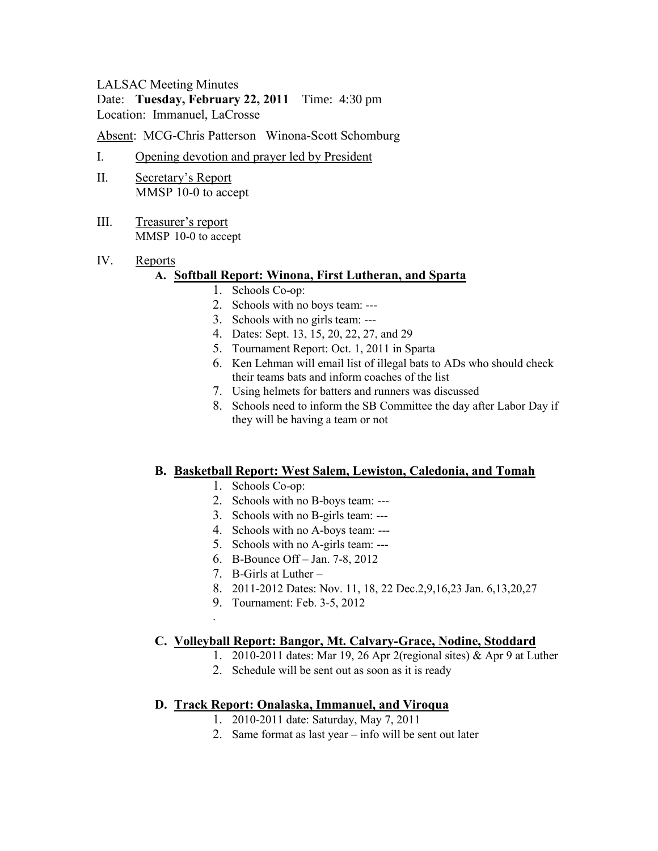## LALSAC Meeting Minutes

#### Date: **Tuesday, February 22, 2011** Time: 4:30 pm Location: Immanuel, LaCrosse

Absent: MCG-Chris Patterson Winona-Scott Schomburg

- I. Opening devotion and prayer led by President
- II. Secretary's Report MMSP 10-0 to accept
- III. Treasurer's report MMSP 10-0 to accept
- IV. Reports

#### **A. Softball Report: Winona, First Lutheran, and Sparta**

- 1. Schools Co-op:
- 2. Schools with no boys team: ---
- 3. Schools with no girls team: ---
- 4. Dates: Sept. 13, 15, 20, 22, 27, and 29
- 5. Tournament Report: Oct. 1, 2011 in Sparta
- 6. Ken Lehman will email list of illegal bats to ADs who should check their teams bats and inform coaches of the list
- 7. Using helmets for batters and runners was discussed
- 8. Schools need to inform the SB Committee the day after Labor Day if they will be having a team or not

### **B. Basketball Report: West Salem, Lewiston, Caledonia, and Tomah**

- 1. Schools Co-op:
- 2. Schools with no B-boys team: ---
- 3. Schools with no B-girls team: ---
- 4. Schools with no A-boys team: ---
- 5. Schools with no A-girls team: ---
- 6. B-Bounce Off Jan. 7-8, 2012
- 7. B-Girls at Luther –

.

- 8. 2011-2012 Dates: Nov. 11, 18, 22 Dec.2,9,16,23 Jan. 6,13,20,27
- 9. Tournament: Feb. 3-5, 2012

### **C. Volleyball Report: Bangor, Mt. Calvary-Grace, Nodine, Stoddard**

- 1. 2010-2011 dates: Mar 19, 26 Apr 2(regional sites) & Apr 9 at Luther
- 2. Schedule will be sent out as soon as it is ready

### **D. Track Report: Onalaska, Immanuel, and Viroqua**

- 1. 2010-2011 date: Saturday, May 7, 2011
- 2. Same format as last year info will be sent out later